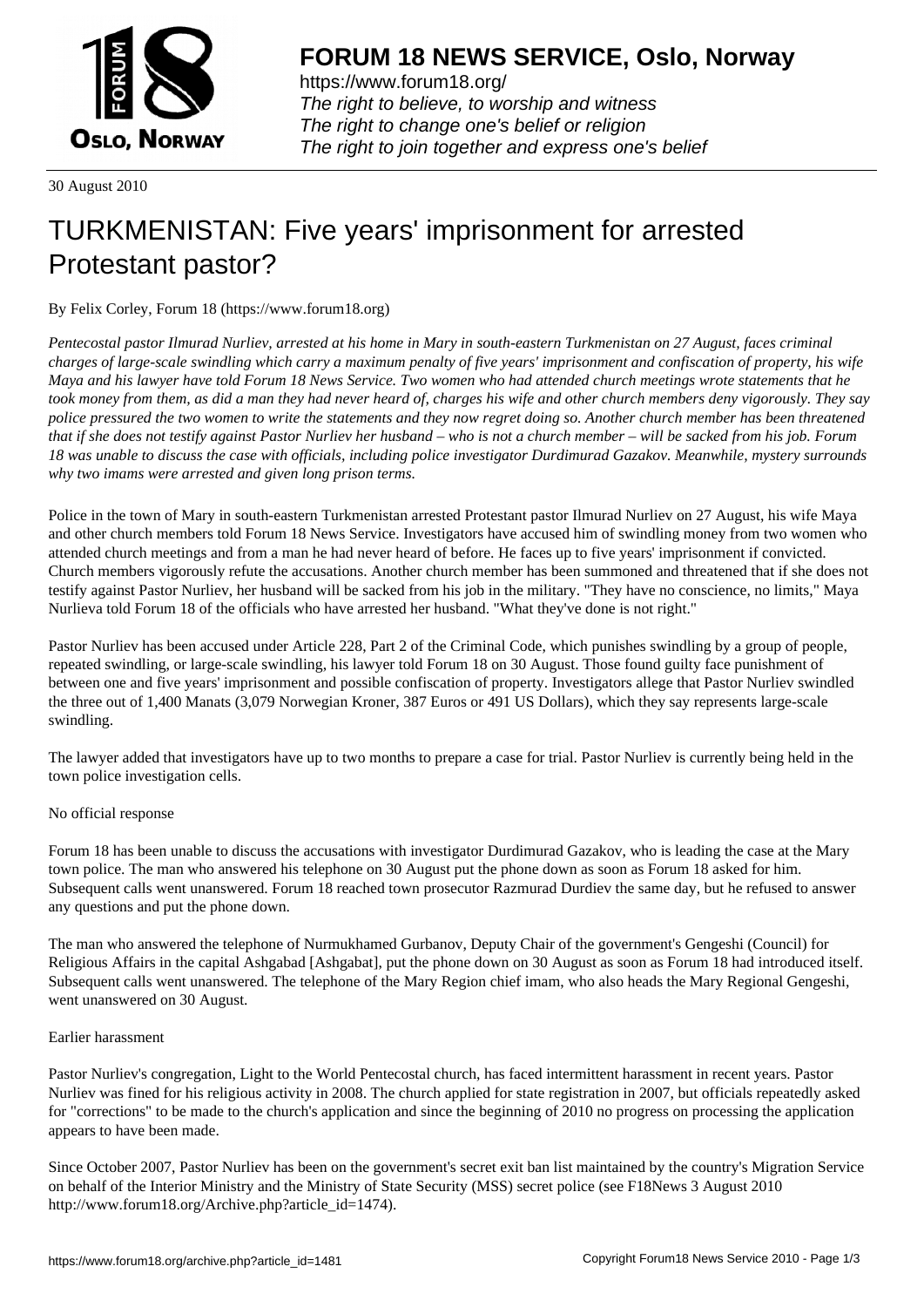

https://www.forum18.org/ The right to believe, to worship and witness The right to change one's belief or religion [The right to join together a](https://www.forum18.org/)nd express one's belief

30 August 2010

# [TURKMENISTA](https://www.forum18.org)N: Five years' imprisonment for arrested Protestant pastor?

By Felix Corley, Forum 18 (https://www.forum18.org)

*Pentecostal pastor Ilmurad Nurliev, arrested at his home in Mary in south-eastern Turkmenistan on 27 August, faces criminal charges of large-scale swindling which carry a maximum penalty of five years' imprisonment and confiscation of property, his wife Maya and his lawyer have told Forum 18 News Service. Two women who had attended church meetings wrote statements that he took money from them, as did a man they had never heard of, charges his wife and other church members deny vigorously. They say police pressured the two women to write the statements and they now regret doing so. Another church member has been threatened that if she does not testify against Pastor Nurliev her husband – who is not a church member – will be sacked from his job. Forum 18 was unable to discuss the case with officials, including police investigator Durdimurad Gazakov. Meanwhile, mystery surrounds why two imams were arrested and given long prison terms.*

Police in the town of Mary in south-eastern Turkmenistan arrested Protestant pastor Ilmurad Nurliev on 27 August, his wife Maya and other church members told Forum 18 News Service. Investigators have accused him of swindling money from two women who attended church meetings and from a man he had never heard of before. He faces up to five years' imprisonment if convicted. Church members vigorously refute the accusations. Another church member has been summoned and threatened that if she does not testify against Pastor Nurliev, her husband will be sacked from his job in the military. "They have no conscience, no limits," Maya Nurlieva told Forum 18 of the officials who have arrested her husband. "What they've done is not right."

Pastor Nurliev has been accused under Article 228, Part 2 of the Criminal Code, which punishes swindling by a group of people, repeated swindling, or large-scale swindling, his lawyer told Forum 18 on 30 August. Those found guilty face punishment of between one and five years' imprisonment and possible confiscation of property. Investigators allege that Pastor Nurliev swindled the three out of 1,400 Manats (3,079 Norwegian Kroner, 387 Euros or 491 US Dollars), which they say represents large-scale swindling.

The lawyer added that investigators have up to two months to prepare a case for trial. Pastor Nurliev is currently being held in the town police investigation cells.

# No official response

Forum 18 has been unable to discuss the accusations with investigator Durdimurad Gazakov, who is leading the case at the Mary town police. The man who answered his telephone on 30 August put the phone down as soon as Forum 18 asked for him. Subsequent calls went unanswered. Forum 18 reached town prosecutor Razmurad Durdiev the same day, but he refused to answer any questions and put the phone down.

The man who answered the telephone of Nurmukhamed Gurbanov, Deputy Chair of the government's Gengeshi (Council) for Religious Affairs in the capital Ashgabad [Ashgabat], put the phone down on 30 August as soon as Forum 18 had introduced itself. Subsequent calls went unanswered. The telephone of the Mary Region chief imam, who also heads the Mary Regional Gengeshi, went unanswered on 30 August.

# Earlier harassment

Pastor Nurliev's congregation, Light to the World Pentecostal church, has faced intermittent harassment in recent years. Pastor Nurliev was fined for his religious activity in 2008. The church applied for state registration in 2007, but officials repeatedly asked for "corrections" to be made to the church's application and since the beginning of 2010 no progress on processing the application appears to have been made.

Since October 2007, Pastor Nurliev has been on the government's secret exit ban list maintained by the country's Migration Service on behalf of the Interior Ministry and the Ministry of State Security (MSS) secret police (see F18News 3 August 2010 http://www.forum18.org/Archive.php?article\_id=1474).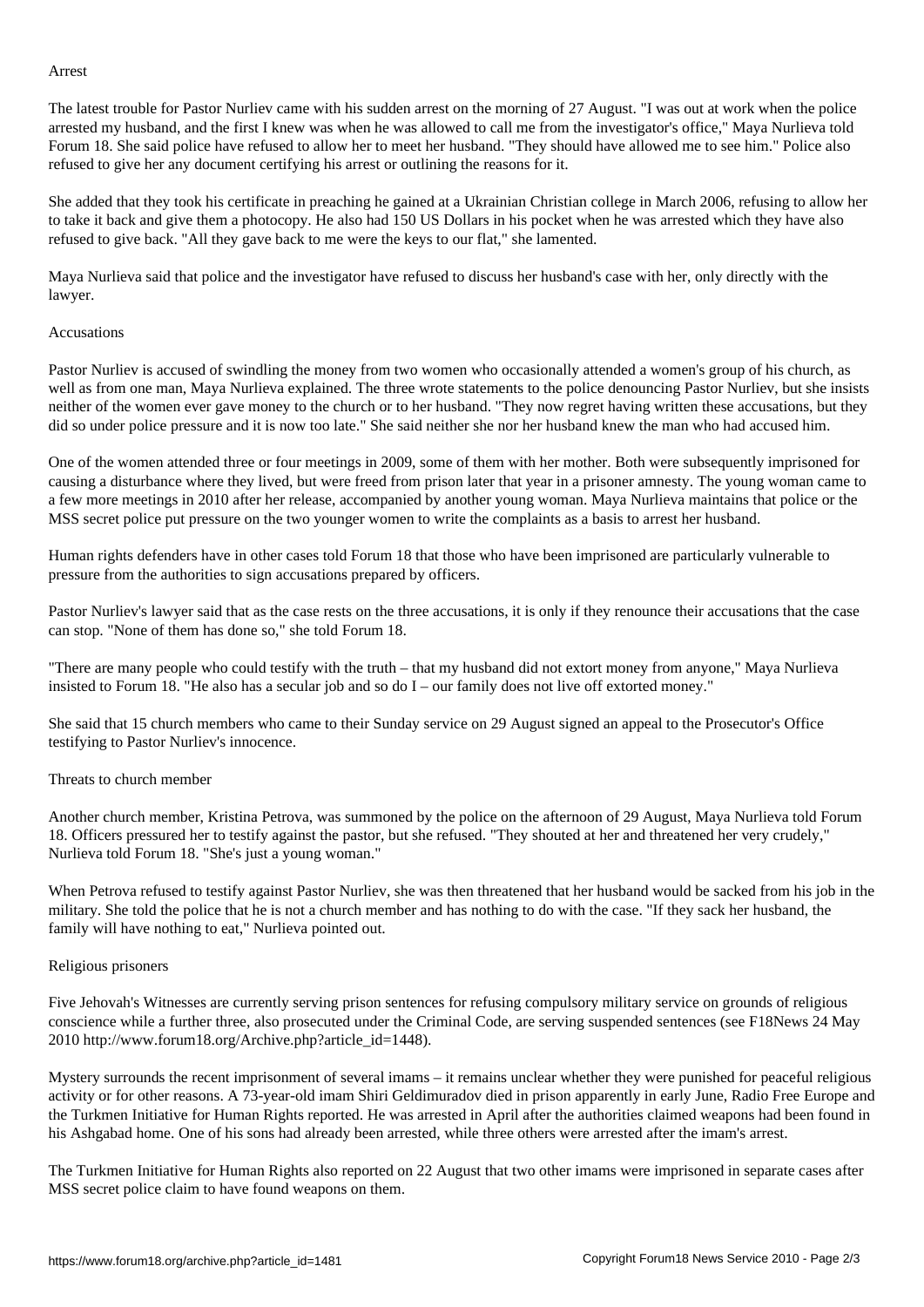The latest trouble for Pastor Nurliev came with his sudden arrest on the morning of 27 August. "I was out at work when the police arrested my husband, and the first I knew was when he was allowed to call me from the investigator's office," Maya Nurlieva told Forum 18. She said police have refused to allow her to meet her husband. "They should have allowed me to see him." Police also refused to give her any document certifying his arrest or outlining the reasons for it.

She added that they took his certificate in preaching he gained at a Ukrainian Christian college in March 2006, refusing to allow her to take it back and give them a photocopy. He also had 150 US Dollars in his pocket when he was arrested which they have also refused to give back. "All they gave back to me were the keys to our flat," she lamented.

Maya Nurlieva said that police and the investigator have refused to discuss her husband's case with her, only directly with the lawyer.

### Accusations

Pastor Nurliev is accused of swindling the money from two women who occasionally attended a women's group of his church, as well as from one man, Maya Nurlieva explained. The three wrote statements to the police denouncing Pastor Nurliev, but she insists neither of the women ever gave money to the church or to her husband. "They now regret having written these accusations, but they did so under police pressure and it is now too late." She said neither she nor her husband knew the man who had accused him.

One of the women attended three or four meetings in 2009, some of them with her mother. Both were subsequently imprisoned for causing a disturbance where they lived, but were freed from prison later that year in a prisoner amnesty. The young woman came to a few more meetings in 2010 after her release, accompanied by another young woman. Maya Nurlieva maintains that police or the MSS secret police put pressure on the two younger women to write the complaints as a basis to arrest her husband.

Human rights defenders have in other cases told Forum 18 that those who have been imprisoned are particularly vulnerable to pressure from the authorities to sign accusations prepared by officers.

Pastor Nurliev's lawyer said that as the case rests on the three accusations, it is only if they renounce their accusations that the case can stop. "None of them has done so," she told Forum 18.

"There are many people who could testify with the truth – that my husband did not extort money from anyone," Maya Nurlieva insisted to Forum 18. "He also has a secular job and so do I – our family does not live off extorted money."

She said that 15 church members who came to their Sunday service on 29 August signed an appeal to the Prosecutor's Office testifying to Pastor Nurliev's innocence.

### Threats to church member

Another church member, Kristina Petrova, was summoned by the police on the afternoon of 29 August, Maya Nurlieva told Forum 18. Officers pressured her to testify against the pastor, but she refused. "They shouted at her and threatened her very crudely," Nurlieva told Forum 18. "She's just a young woman."

When Petrova refused to testify against Pastor Nurliev, she was then threatened that her husband would be sacked from his job in the military. She told the police that he is not a church member and has nothing to do with the case. "If they sack her husband, the family will have nothing to eat," Nurlieva pointed out.

#### Religious prisoners

Five Jehovah's Witnesses are currently serving prison sentences for refusing compulsory military service on grounds of religious conscience while a further three, also prosecuted under the Criminal Code, are serving suspended sentences (see F18News 24 May 2010 http://www.forum18.org/Archive.php?article\_id=1448).

Mystery surrounds the recent imprisonment of several imams – it remains unclear whether they were punished for peaceful religious activity or for other reasons. A 73-year-old imam Shiri Geldimuradov died in prison apparently in early June, Radio Free Europe and the Turkmen Initiative for Human Rights reported. He was arrested in April after the authorities claimed weapons had been found in his Ashgabad home. One of his sons had already been arrested, while three others were arrested after the imam's arrest.

The Turkmen Initiative for Human Rights also reported on 22 August that two other imams were imprisoned in separate cases after MSS secret police claim to have found weapons on them.